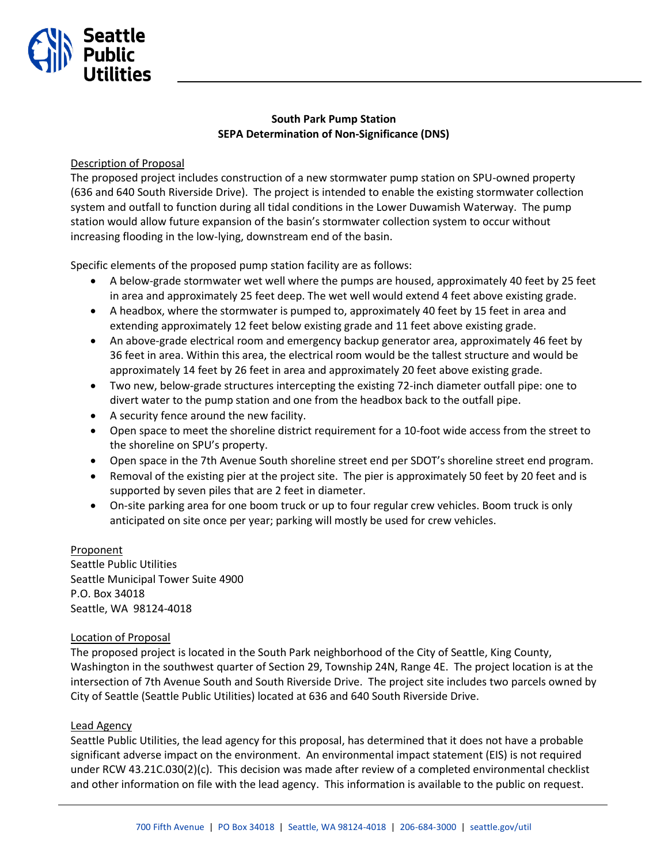# **South Park Pump Station SEPA Determination of Non-Significance (DNS)**

### Description of Proposal

Seattle

The proposed project includes construction of a new stormwater pump station on SPU-owned property (636 and 640 South Riverside Drive). The project is intended to enable the existing stormwater collection system and outfall to function during all tidal conditions in the Lower Duwamish Waterway. The pump station would allow future expansion of the basin's stormwater collection system to occur without increasing flooding in the low-lying, downstream end of the basin.

Specific elements of the proposed pump station facility are as follows:

- A below-grade stormwater wet well where the pumps are housed, approximately 40 feet by 25 feet in area and approximately 25 feet deep. The wet well would extend 4 feet above existing grade.
- A headbox, where the stormwater is pumped to, approximately 40 feet by 15 feet in area and extending approximately 12 feet below existing grade and 11 feet above existing grade.
- An above-grade electrical room and emergency backup generator area, approximately 46 feet by 36 feet in area. Within this area, the electrical room would be the tallest structure and would be approximately 14 feet by 26 feet in area and approximately 20 feet above existing grade.
- Two new, below-grade structures intercepting the existing 72-inch diameter outfall pipe: one to divert water to the pump station and one from the headbox back to the outfall pipe.
- A security fence around the new facility.
- Open space to meet the shoreline district requirement for a 10-foot wide access from the street to the shoreline on SPU's property.
- Open space in the 7th Avenue South shoreline street end per SDOT's shoreline street end program.
- Removal of the existing pier at the project site. The pier is approximately 50 feet by 20 feet and is supported by seven piles that are 2 feet in diameter.
- On-site parking area for one boom truck or up to four regular crew vehicles. Boom truck is only anticipated on site once per year; parking will mostly be used for crew vehicles.

## Proponent

Seattle Public Utilities Seattle Municipal Tower Suite 4900 P.O. Box 34018 Seattle, WA 98124-4018

#### Location of Proposal

The proposed project is located in the South Park neighborhood of the City of Seattle, King County, Washington in the southwest quarter of Section 29, Township 24N, Range 4E. The project location is at the intersection of 7th Avenue South and South Riverside Drive. The project site includes two parcels owned by City of Seattle (Seattle Public Utilities) located at 636 and 640 South Riverside Drive.

## Lead Agency

Seattle Public Utilities, the lead agency for this proposal, has determined that it does not have a probable significant adverse impact on the environment. An environmental impact statement (EIS) is not required under RCW 43.21C.030(2)(c). This decision was made after review of a completed environmental checklist and other information on file with the lead agency. This information is available to the public on request.